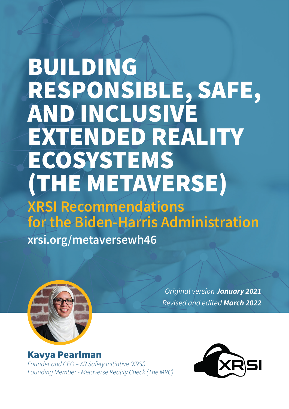# BUILDING RESPONSIBLE, SAFE, **AND INCLUSIVE** EXTENDED REALITY **ECOSYSTEMS** (THE METAVERSE)

# **XRSI Recommendations for the Biden-Harris Administration**

**xrsi.org/metaversewh46**



*Original version January 2021 Revised and edited March 2022*

Kavya Pearlman *Founder and CEO – XR Safety Initiative (XRSI) Founding Member - Metaverse Reality Check (The MRC)*

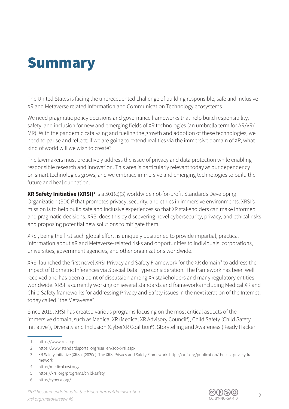### **Summary**

The United States is facing the unprecedented challenge of building responsible, safe and inclusive XR and Metaverse related Information and Communication Technology ecosystems.

We need pragmatic policy decisions and governance frameworks that help build responsibility, safety, and inclusion for new and emerging fields of XR technologies (an umbrella term for AR/VR/ MR). With the pandemic catalyzing and fueling the growth and adoption of these technologies, we need to pause and reflect: if we are going to extend realities via the immersive domain of XR, what kind of world will we wish to create?

The lawmakers must proactively address the issue of privacy and data protection while enabling responsible research and innovation. This area is particularly relevant today as our dependency on smart technologies grows, and we embrace immersive and emerging technologies to build the future and heal our nation.

**XR Safety Initiative (XRSI)<sup>1</sup> is a 501(c)(3) worldwide not-for-profit Standards Developing** Organization (SDO)<sup>2</sup> that promotes privacy, security, and ethics in immersive environments. XRSI's mission is to help build safe and inclusive experiences so that XR stakeholders can make informed and pragmatic decisions. XRSI does this by discovering novel cybersecurity, privacy, and ethical risks and proposing potential new solutions to mitigate them.

XRSI, being the first such global effort, is uniquely positioned to provide impartial, practical information about XR and Metaverse-related risks and opportunities to individuals, corporations, universities, government agencies, and other organizations worldwide.

XRSI launched the first novel XRSI Privacy and Safety Framework for the XR domain<sup>3</sup> to address the impact of Biometric Inferences via Special Data Type consideration. The framework has been well received and has been a point of discussion among XR stakeholders and many regulatory entities worldwide. XRSI is currently working on several standards and frameworks including Medical XR and Child Safety frameworks for addressing Privacy and Safety issues in the next iteration of the Internet, today called "the Metaverse".

Since 2019, XRSI has created various programs focusing on the most critical aspects of the immersive domain, such as Medical XR (Medical XR Advisory Council<sup>4</sup>), Child Safety (Child Safety Initiative<sup>5</sup>), Diversity and Inclusion (CyberXR Coalition<sup>6</sup>), Storytelling and Awareness (Ready Hacker



<sup>1</sup> https://www.xrsi.org

<sup>2</sup> https://www.standardsportal.org/usa\_en/sdo/xrsi.aspx

<sup>3</sup> XR Safety Initiative (XRSI). (2020c). The XRSI Privacy and Safety Framework. https://xrsi.org/publication/the-xrsi-privacy-framework

<sup>4</sup> http://medical.xrsi.org/

<sup>5</sup> https://xrsi.org/programs/child-safety

<sup>6</sup> http://cyberxr.org/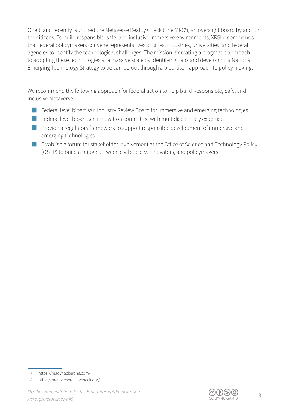One<sup>7</sup>), and recently launched the Metaverse Reality Check (The MRC<sup>8</sup>), an oversight board by and for the citizens. To build responsible, safe, and inclusive immersive environments, XRSI recommends that federal policymakers convene representatives of cities, industries, universities, and federal agencies to identify the technological challenges. The mission is creating a pragmatic approach to adopting these technologies at a massive scale by identifying gaps and developing a National Emerging Technology Strategy to be carried out through a bipartisan approach to policy making.

We recommend the following approach for federal action to help build Responsible, Safe, and Inclusive Metaverse:

- Federal level bipartisan Industry Review Board for immersive and emerging technologies
- Federal level bipartisan innovation committee with multidisciplinary expertise
- Provide a regulatory framework to support responsible development of immersive and emerging technologies
- Establish a forum for stakeholder involvement at the Office of Science and Technology Policy (OSTP) to build a bridge between civil society, innovators, and policymakers



<sup>7</sup> https://readyhackerone.com/

<sup>8</sup> https://metaverserealitycheck.org/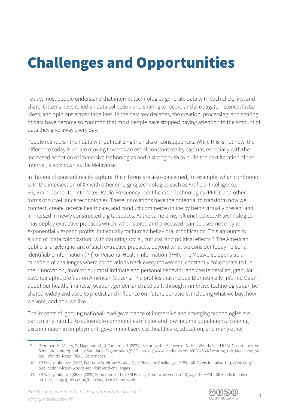## Challenges and Opportunities

Today, most people understand that internet technologies generate data with each click, like, and share. Citizens have relied on data collection and sharing to record and propagate historical facts, ideas, and opinions across timelines. In the past few decades, the creation, processing, and sharing of data have become so common that most people have stopped paying attention to the amount of data they give away every day.

People relinquish their data without realizing the risks or consequences. While this is not new, the difference today is we are moving towards an era of constant reality capture, especially with the increased adoption of immersive technologies and a strong push to build the next iteration of the Internet, also known as the Metaverse<sup>9</sup>.

In this era of constant reality capture, the citizens are also concerned, for example, when confronted with the intersection of XR with other emerging technologies such as Artificial Intelligence, 5G, Brain-Computer Interfaces, Radio Frequency Identification Technologies (RFID), and other forms of surveillance technologies. These innovations have the potential to transform how we connect, create, receive healthcare, and conduct commerce online by being virtually present and immersed in newly constructed digital spaces. At the same time, left unchecked, XR technologies may deploy extractive practices which, when stored and processed, can be used not only to exponentially expand profits, but equally for human behavioral modification. This amounts to a kind of "data colonization" with daunting social, cultural, and political effects<sup>10</sup>. The American public is largely ignorant of such extractive practices, beyond what we consider today Personal Identifiable Information (PII) or Personal Health Information (PHI). The Metaverse opens up a minefield of challenges where corporations track every movement, constantly collect data to fuel their innovation, monitor our most intimate and personal behavior, and create detailed, granular psychographic profiles on American Citizens. The profiles that include Biometrically-Inferred Data<sup>11</sup> about our health, finances, location, gender, and race built through immersive technologies can be shared widely and used to predict and influence our future behaviors, including what we buy, how we vote, and how we live.

The impacts of ignoring national-level governance of immersive and emerging technologies are particularly harmful to vulnerable communities of color and low-income populations, fostering discrimination in employment, government services, healthcare, education, and many other



<sup>9</sup> Pearlman, K., Visner, S., Magnano, M., & Cameron, R. (2021). Securing the Metaverse - Virtual Worlds Need REAL Governance. In Simulation Interoperability Standards Organization (SISO). https://www.academia.edu/66984560/Securing\_the\_Metaverse\_Virtual\_Worlds\_Need\_REAL\_Governance

<sup>10</sup> XR Safety Initiative. (2022, February 8). Virtual Worlds, Real Risks and Challenges. XRSI – XR Safety Initiative. https://xrsi.org/ publication/virtual-worlds-real-risks-and-challenges

<sup>11</sup> XR Safety Initiative (XRSI). (2020, September). The XRSI Privacy Framework version 1.0, page 19. XRSI – XR Safety Initiative. https://xrsi.org/publication/the-xrsi-privacy-framework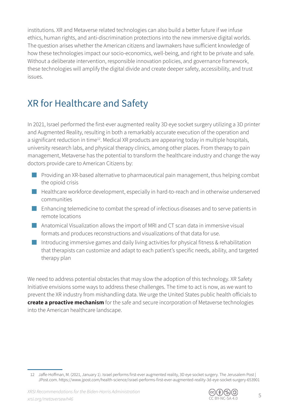institutions. XR and Metaverse related technologies can also build a better future if we infuse ethics, human rights, and anti-discrimination protections into the new immersive digital worlds. The question arises whether the American citizens and lawmakers have sufficient knowledge of how these technologies impact our socio-economics, well-being, and right to be private and safe. Without a deliberate intervention, responsible innovation policies, and governance framework, these technologies will amplify the digital divide and create deeper safety, accessibility, and trust issues.

### XR for Healthcare and Safety

In 2021, Israel performed the first-ever augmented reality 3D eye socket surgery utilizing a 3D printer and Augmented Reality, resulting in both a remarkably accurate execution of the operation and a significant reduction in time<sup>12</sup>. Medical XR products are appearing today in multiple hospitals, university research labs, and physical therapy clinics, among other places. From therapy to pain management, Metaverse has the potential to transform the healthcare industry and change the way doctors provide care to American Citizens by:

- Providing an XR-based alternative to pharmaceutical pain management, thus helping combat the opioid crisis
- Healthcare workforce development, especially in hard-to-reach and in otherwise underserved communities
- Enhancing telemedicine to combat the spread of infectious diseases and to serve patients in remote locations
- Anatomical Visualization allows the import of MRI and CT scan data in immersive visual formats and produces reconstructions and visualizations of that data for use.
- Introducing immersive games and daily living activities for physical fitness & rehabilitation that therapists can customize and adapt to each patient's specific needs, ability, and targeted therapy plan

We need to address potential obstacles that may slow the adoption of this technology. XR Safety Initiative envisions some ways to address these challenges. The time to act is now, as we want to prevent the XR industry from mishandling data. We urge the United States public health officials to **create a proactive mechanism** for the safe and secure incorporation of Metaverse technologies into the American healthcare landscape.



<sup>12</sup> Jaffe-Hoffman, M. (2021, January 1). Israel performs first-ever augmented reality, 3D eye socket surgery. The Jerusalem Post | JPost.com. https://www.jpost.com/health-science/israel-performs-fi rst-ever-augmented-reality-3d-eye-socket-surgery-653901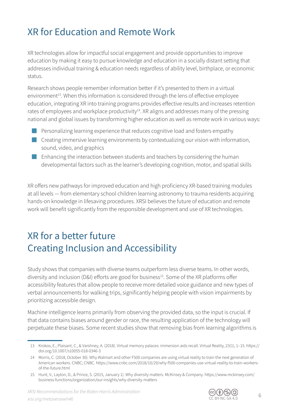### XR for Education and Remote Work

XR technologies allow for impactful social engagement and provide opportunities to improve education by making it easy to pursue knowledge and education in a socially distant setting that addresses individual training & education needs regardless of ability level, birthplace, or economic status.

Research shows people remember information better if it's presented to them in a virtual environment<sup>13</sup>. When this information is considered through the lens of effective employee education, integrating XR into training programs provides effective results and increases retention rates of employees and workplace productivity<sup>14</sup>. XR aligns and addresses many of the pressing national and global issues by transforming higher education as well as remote work in various ways:

- Personalizing learning experience that reduces cognitive load and fosters empathy
- Creating immersive learning environments by contextualizing our vision with information, sound, video, and graphics
- Enhancing the interaction between students and teachers by considering the human developmental factors such as the learner's developing cognition, motor, and spatial skills

XR offers new pathways for improved education and high proficiency XR-based training modules at all levels — from elementary school children learning astronomy to trauma residents acquiring hands-on knowledge in lifesaving procedures. XRSI believes the future of education and remote work will benefit significantly from the responsible development and use of XR technologies.

### XR for a better future Creating Inclusion and Accessibility

Study shows that companies with diverse teams outperform less diverse teams. In other words, diversity and inclusion (D&I) efforts are good for business<sup>15</sup>. Some of the XR platforms offer accessibility features that allow people to receive more detailed voice guidance and new types of verbal announcements for walking trips, significantly helping people with vision impairments by prioritizing accessible design.

Machine intelligence learns primarily from observing the provided data, so the input is crucial. If that data contains biases around gender or race, the resulting application of the technology will perpetuate these biases. Some recent studies show that removing bias from learning algorithms is



<sup>13</sup> Krokos, E., Plaisant, C., & Varshney, A. (2018). Virtual memory palaces: immersion aids recall. Virtual Reality, 23(1), 1–15. https:// doi.org/10.1007/s10055-018-0346-3

<sup>14</sup> Morris, C. (2018, October 30). Why Walmart and other F500 companies are using virtual reality to train the next generation of American workers. CNBC; CNBC. https://www.cnbc.com/2018/10/29/why-f500-companies-use-virtual-reality-to-train-workersof-the-future.html

<sup>15</sup> Hunt, V., Layton, D., & Prince, S. (2015, January 1). Why diversity matters. McKinsey & Company. https://www.mckinsey.com/ business-functions/organization/our-insights/why-diversity-matters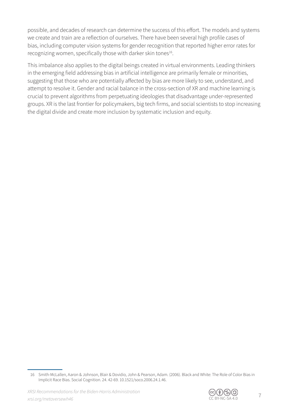possible, and decades of research can determine the success of this effort. The models and systems we create and train are a reflection of ourselves. There have been several high profile cases of bias, including computer vision systems for gender recognition that reported higher error rates for recognizing women, specifically those with darker skin tones<sup>16</sup>.

This imbalance also applies to the digital beings created in virtual environments. Leading thinkers in the emerging field addressing bias in artificial intelligence are primarily female or minorities, suggesting that those who are potentially affected by bias are more likely to see, understand, and attempt to resolve it. Gender and racial balance in the cross-section of XR and machine learning is crucial to prevent algorithms from perpetuating ideologies that disadvantage under-represented groups. XR is the last frontier for policymakers, big tech firms, and social scientists to stop increasing the digital divide and create more inclusion by systematic inclusion and equity.



<sup>16</sup> Smith-McLallen, Aaron & Johnson, Blair & Dovidio, John & Pearson, Adam. (2006). Black and White: The Role of Color Bias in Implicit Race Bias. Social Cognition. 24. 42-69. 10.1521/soco.2006.24.1.46.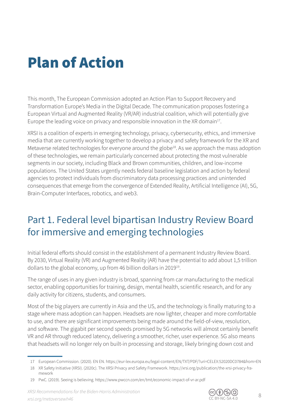### Plan of Action

This month, The European Commission adopted an Action Plan to Support Recovery and Transformation Europe's Media in the Digital Decade. The communication proposes fostering a European Virtual and Augmented Reality (VR/AR) industrial coalition, which will potentially give Europe the leading voice on privacy and responsible innovation in the XR domain<sup>17</sup>.

XRSI is a coalition of experts in emerging technology, privacy, cybersecurity, ethics, and immersive media that are currently working together to develop a privacy and safety framework for the XR and Metaverse related technologies for everyone around the globe<sup>18</sup>. As we approach the mass adoption of these technologies, we remain particularly concerned about protecting the most vulnerable segments in our society, including Black and Brown communities, children, and low-income populations. The United States urgently needs federal baseline legislation and action by federal agencies to protect individuals from discriminatory data processing practices and unintended consequences that emerge from the convergence of Extended Reality, Artificial Intelligence (AI), 5G, Brain-Computer Interfaces, robotics, and web3.

### Part 1. Federal level bipartisan Industry Review Board for immersive and emerging technologies

Initial federal efforts should consist in the establishment of a permanent Industry Review Board. By 2030, Virtual Reality (VR) and Augmented Reality (AR) have the potential to add about 1,5 trillion dollars to the global economy, up from 46 billion dollars in 201919.

The range of uses in any given industry is broad, spanning from car manufacturing to the medical sector, enabling opportunities for training, design, mental health, scientific research, and for any daily activity for citizens, students, and consumers.

Most of the big players are currently in Asia and the US, and the technology is finally maturing to a stage where mass adoption can happen. Headsets are now lighter, cheaper and more comfortable to use, and there are significant improvements being made around the field-of-view, resolution, and software. The gigabit per second speeds promised by 5G networks will almost certainly benefit VR and AR through reduced latency, delivering a smoother, richer, user experience. 5G also means that headsets will no longer rely on built-in processing and storage, likely bringing down cost and



<sup>17</sup> European Commission. (2020). EN EN. https://eur-lex.europa.eu/legal-content/EN/TXT/PDF/?uri=CELEX:52020DC0784&from=EN

<sup>18</sup> XR Safety Initiative (XRSI). (2020c). The XRSI Privacy and Safety Framework. https://xrsi.org/publication/the-xrsi-privacy-framework

<sup>19</sup> PwC. (2019). Seeing is believing. https://www.pwccn.com/en/tmt/economic-impact-of-vr-ar.pdf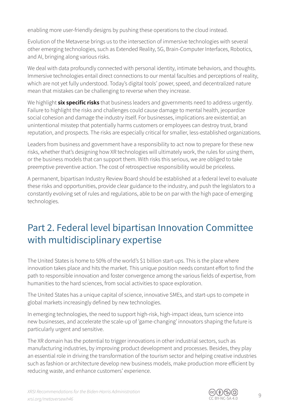enabling more user-friendly designs by pushing these operations to the cloud instead.

Evolution of the Metaverse brings us to the intersection of immersive technologies with several other emerging technologies, such as Extended Reality, 5G, Brain-Computer Interfaces, Robotics, and AI, bringing along various risks.

We deal with data profoundly connected with personal identity, intimate behaviors, and thoughts. Immersive technologies entail direct connections to our mental faculties and perceptions of reality, which are not yet fully understood. Today's digital tools' power, speed, and decentralized nature mean that mistakes can be challenging to reverse when they increase.

We highlight **six specific risks** that business leaders and governments need to address urgently. Failure to highlight the risks and challenges could cause damage to mental health, jeopardize social cohesion and damage the industry itself. For businesses, implications are existential; an unintentional misstep that potentially harms customers or employees can destroy trust, brand reputation, and prospects. The risks are especially critical for smaller, less-established organizations.

Leaders from business and government have a responsibility to act now to prepare for these new risks, whether that's designing how XR technologies will ultimately work, the rules for using them, or the business models that can support them. With risks this serious, we are obliged to take preemptive preventive action. The cost of retrospective responsibility would be priceless.

A permanent, bipartisan Industry Review Board should be established at a federal level to evaluate these risks and opportunities, provide clear guidance to the industry, and push the legislators to a constantly evolving set of rules and regulations, able to be on par with the high pace of emerging technologies.

### Part 2. Federal level bipartisan Innovation Committee with multidisciplinary expertise

The United States is home to 50% of the world's \$1 billion start-ups. This is the place where innovation takes place and hits the market. This unique position needs constant effort to find the path to responsible innovation and foster convergence among the various fields of expertise, from humanities to the hard sciences, from social activities to space exploration.

The United States has a unique capital of science, innovative SMEs, and start-ups to compete in global markets increasingly defined by new technologies.

In emerging technologies, the need to support high-risk, high-impact ideas, turn science into new businesses, and accelerate the scale-up of 'game-changing' innovators shaping the future is particularly urgent and sensitive.

The XR domain has the potential to trigger innovations in other industrial sectors, such as manufacturing industries, by improving product development and processes. Besides, they play an essential role in driving the transformation of the tourism sector and helping creative industries such as fashion or architecture develop new business models, make production more efficient by reducing waste, and enhance customers' experience.

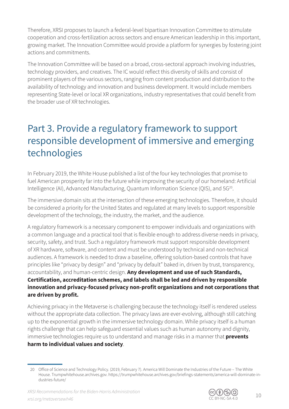Therefore, XRSI proposes to launch a federal-level bipartisan Innovation Committee to stimulate cooperation and cross-fertilization across sectors and ensure American leadership in this important, growing market. The Innovation Committee would provide a platform for synergies by fostering joint actions and commitments.

The Innovation Committee will be based on a broad, cross-sectoral approach involving industries, technology providers, and creatives. The IC would reflect this diversity of skills and consist of prominent players of the various sectors, ranging from content production and distribution to the availability of technology and innovation and business development. It would include members representing State-level or local XR organizations, industry representatives that could benefit from the broader use of XR technologies.

#### Part 3. Provide a regulatory framework to support responsible development of immersive and emerging technologies

In February 2019, the White House published a list of the four key technologies that promise to fuel American prosperity far into the future while improving the security of our homeland: Artificial Intelligence (AI), Advanced Manufacturing, Quantum Information Science (QIS), and 5G<sup>20</sup>.

The immersive domain sits at the intersection of these emerging technologies. Therefore, it should be considered a priority for the United States and regulated at many levels to support responsible development of the technology, the industry, the market, and the audience.

A regulatory framework is a necessary component to empower individuals and organizations with a common language and a practical tool that is flexible enough to address diverse needs in privacy, security, safety, and trust. Such a regulatory framework must support responsible development of XR hardware, software, and content and must be understood by technical and non-technical audiences. A framework is needed to draw a baseline, offering solution-based controls that have principles like "privacy by design" and "privacy by default" baked in, driven by trust, transparency, accountability, and human-centric design. **Any development and use of such Standards,**  Certification, accreditation schemes, and labels shall be led and driven by responsible innovation and privacy-focused privacy non-profit organizations and not corporations that are driven by profit.

Achieving privacy in the Metaverse is challenging because the technology itself is rendered useless without the appropriate data collection. The privacy laws are ever-evolving, although still catching up to the exponential growth in the immersive technology domain. While privacy itself is a human rights challenge that can help safeguard essential values such as human autonomy and dignity, immersive technologies require us to understand and manage risks in a manner that **prevents harm to individual values and society**.



<sup>20</sup> Office of Science and Technology Policy. (2019, February 7). America Will Dominate the Industries of the Future – The White House. Trumpwhitehouse.archives.gov. https://trumpwhitehouse.archives.gov/briefings-statements/america-will-dominate-industries-future/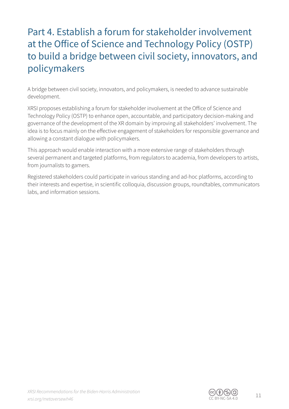#### Part 4. Establish a forum for stakeholder involvement at the Office of Science and Technology Policy (OSTP) to build a bridge between civil society, innovators, and policymakers

A bridge between civil society, innovators, and policymakers, is needed to advance sustainable development.

XRSI proposes establishing a forum for stakeholder involvement at the Office of Science and Technology Policy (OSTP) to enhance open, accountable, and participatory decision-making and governance of the development of the XR domain by improving all stakeholders' involvement. The idea is to focus mainly on the effective engagement of stakeholders for responsible governance and allowing a constant dialogue with policymakers.

This approach would enable interaction with a more extensive range of stakeholders through several permanent and targeted platforms, from regulators to academia, from developers to artists, from journalists to gamers.

Registered stakeholders could participate in various standing and ad-hoc platforms, according to their interests and expertise, in scientific colloquia, discussion groups, roundtables, communicators labs, and information sessions.

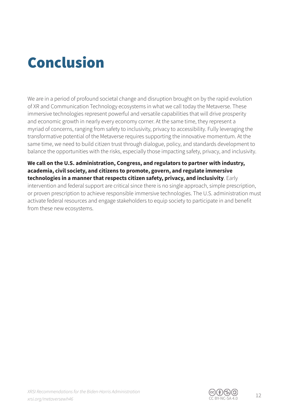### Conclusion

We are in a period of profound societal change and disruption brought on by the rapid evolution of XR and Communication Technology ecosystems in what we call today the Metaverse. These immersive technologies represent powerful and versatile capabilities that will drive prosperity and economic growth in nearly every economy corner. At the same time, they represent a myriad of concerns, ranging from safety to inclusivity, privacy to accessibility. Fully leveraging the transformative potential of the Metaverse requires supporting the innovative momentum. At the same time, we need to build citizen trust through dialogue, policy, and standards development to balance the opportunities with the risks, especially those impacting safety, privacy, and inclusivity.

**We call on the U.S. administration, Congress, and regulators to partner with industry, academia, civil society, and citizens to promote, govern, and regulate immersive technologies in a manner that respects citizen safety, privacy, and inclusivity**. Early intervention and federal support are critical since there is no single approach, simple prescription, or proven prescription to achieve responsible immersive technologies. The U.S. administration must activate federal resources and engage stakeholders to equip society to participate in and benefit from these new ecosystems.